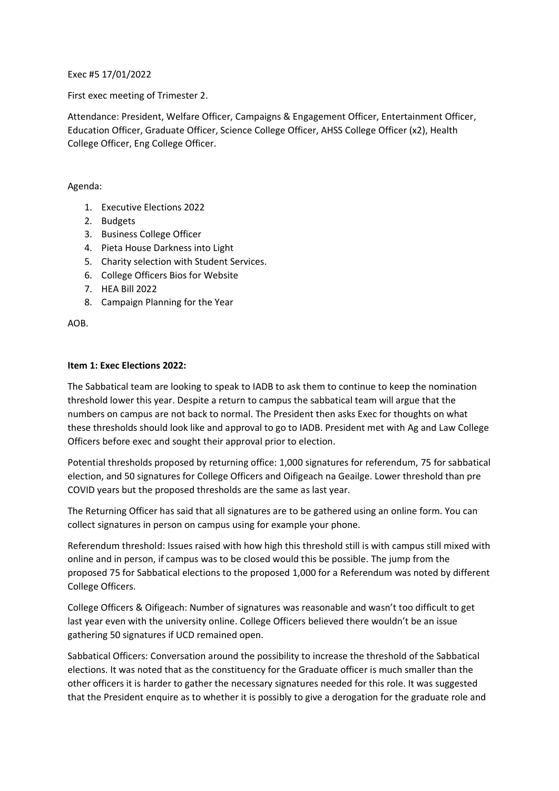Exec #5 17/01/2022

First exec meeting of Trimester 2.

Attendance: President, Welfare Officer, Campaigns & Engagement Officer, Entertainment Officer, Education Officer, Graduate Officer, Science College Officer, AHSS College Officer (x2), Health College Officer, Eng College Officer.

### Agenda:

- 1. Executive Elections 2022
- 2. Budgets
- 3. Business College Officer
- 4. Pieta House Darkness into Light
- 5. Charity selection with Student Services.
- 6. College Officers Bios for Website
- 7. HEA Bill 2022
- 8. Campaign Planning for the Year

AOB.

## **Item 1: Exec Elections 2022:**

The Sabbatical team are looking to speak to IADB to ask them to continue to keep the nomination threshold lower this year. Despite a return to campus the sabbatical team will argue that the numbers on campus are not back to normal. The President then asks Exec for thoughts on what these thresholds should look like and approval to go to IADB. President met with Ag and Law College Officers before exec and sought their approval prior to election.

Potential thresholds proposed by returning office: 1,000 signatures for referendum, 75 for sabbatical election, and 50 signatures for College Officers and Oifigeach na Geailge. Lower threshold than pre COVID years but the proposed thresholds are the same as last year.

The Returning Officer has said that all signatures are to be gathered using an online form. You can collect signatures in person on campus using for example your phone.

Referendum threshold: Issues raised with how high this threshold still is with campus still mixed with online and in person, if campus was to be closed would this be possible. The jump from the proposed 75 for Sabbatical elections to the proposed 1,000 for a Referendum was noted by different College Officers.

College Officers & Oifigeach: Number of signatures was reasonable and wasn't too difficult to get last year even with the university online. College Officers believed there wouldn't be an issue gathering 50 signatures if UCD remained open.

Sabbatical Officers: Conversation around the possibility to increase the threshold of the Sabbatical elections. It was noted that as the constituency for the Graduate officer is much smaller than the other officers it is harder to gather the necessary signatures needed for this role. It was suggested that the President enquire as to whether it is possibly to give a derogation for the graduate role and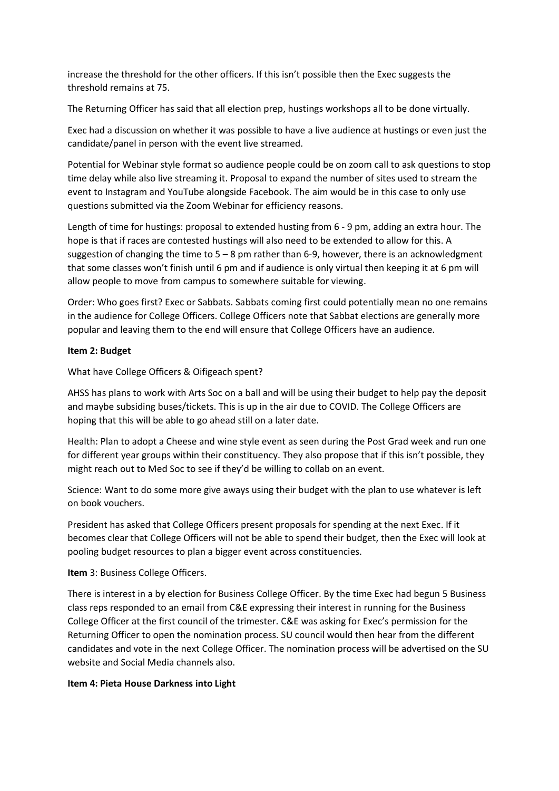increase the threshold for the other officers. If this isn't possible then the Exec suggests the threshold remains at 75.

The Returning Officer has said that all election prep, hustings workshops all to be done virtually.

Exec had a discussion on whether it was possible to have a live audience at hustings or even just the candidate/panel in person with the event live streamed.

Potential for Webinar style format so audience people could be on zoom call to ask questions to stop time delay while also live streaming it. Proposal to expand the number of sites used to stream the event to Instagram and YouTube alongside Facebook. The aim would be in this case to only use questions submitted via the Zoom Webinar for efficiency reasons.

Length of time for hustings: proposal to extended husting from 6 - 9 pm, adding an extra hour. The hope is that if races are contested hustings will also need to be extended to allow for this. A suggestion of changing the time to  $5 - 8$  pm rather than 6-9, however, there is an acknowledgment that some classes won't finish until 6 pm and if audience is only virtual then keeping it at 6 pm will allow people to move from campus to somewhere suitable for viewing.

Order: Who goes first? Exec or Sabbats. Sabbats coming first could potentially mean no one remains in the audience for College Officers. College Officers note that Sabbat elections are generally more popular and leaving them to the end will ensure that College Officers have an audience.

## **Item 2: Budget**

What have College Officers & Oifigeach spent?

AHSS has plans to work with Arts Soc on a ball and will be using their budget to help pay the deposit and maybe subsiding buses/tickets. This is up in the air due to COVID. The College Officers are hoping that this will be able to go ahead still on a later date.

Health: Plan to adopt a Cheese and wine style event as seen during the Post Grad week and run one for different year groups within their constituency. They also propose that if this isn't possible, they might reach out to Med Soc to see if they'd be willing to collab on an event.

Science: Want to do some more give aways using their budget with the plan to use whatever is left on book vouchers.

President has asked that College Officers present proposals for spending at the next Exec. If it becomes clear that College Officers will not be able to spend their budget, then the Exec will look at pooling budget resources to plan a bigger event across constituencies.

**Item** 3: Business College Officers.

There is interest in a by election for Business College Officer. By the time Exec had begun 5 Business class reps responded to an email from C&E expressing their interest in running for the Business College Officer at the first council of the trimester. C&E was asking for Exec's permission for the Returning Officer to open the nomination process. SU council would then hear from the different candidates and vote in the next College Officer. The nomination process will be advertised on the SU website and Social Media channels also.

#### **Item 4: Pieta House Darkness into Light**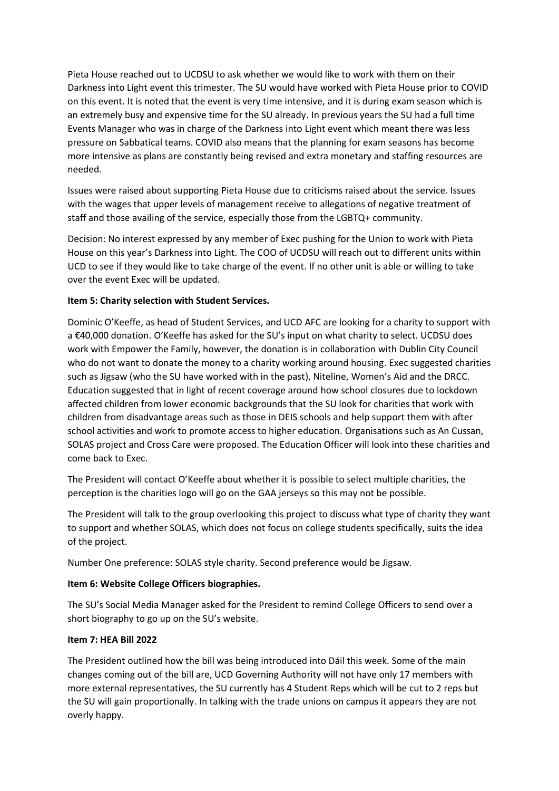Pieta House reached out to UCDSU to ask whether we would like to work with them on their Darkness into Light event this trimester. The SU would have worked with Pieta House prior to COVID on this event. It is noted that the event is very time intensive, and it is during exam season which is an extremely busy and expensive time for the SU already. In previous years the SU had a full time Events Manager who was in charge of the Darkness into Light event which meant there was less pressure on Sabbatical teams. COVID also means that the planning for exam seasons has become more intensive as plans are constantly being revised and extra monetary and staffing resources are needed.

Issues were raised about supporting Pieta House due to criticisms raised about the service. Issues with the wages that upper levels of management receive to allegations of negative treatment of staff and those availing of the service, especially those from the LGBTQ+ community.

Decision: No interest expressed by any member of Exec pushing for the Union to work with Pieta House on this year's Darkness into Light. The COO of UCDSU will reach out to different units within UCD to see if they would like to take charge of the event. If no other unit is able or willing to take over the event Exec will be updated.

## **Item 5: Charity selection with Student Services.**

Dominic O'Keeffe, as head of Student Services, and UCD AFC are looking for a charity to support with a €40,000 donation. O'Keeffe has asked for the SU's input on what charity to select. UCDSU does work with Empower the Family, however, the donation is in collaboration with Dublin City Council who do not want to donate the money to a charity working around housing. Exec suggested charities such as Jigsaw (who the SU have worked with in the past), Niteline, Women's Aid and the DRCC. Education suggested that in light of recent coverage around how school closures due to lockdown affected children from lower economic backgrounds that the SU look for charities that work with children from disadvantage areas such as those in DEIS schools and help support them with after school activities and work to promote access to higher education. Organisations such as An Cussan, SOLAS project and Cross Care were proposed. The Education Officer will look into these charities and come back to Exec.

The President will contact O'Keeffe about whether it is possible to select multiple charities, the perception is the charities logo will go on the GAA jerseys so this may not be possible.

The President will talk to the group overlooking this project to discuss what type of charity they want to support and whether SOLAS, which does not focus on college students specifically, suits the idea of the project.

Number One preference: SOLAS style charity. Second preference would be Jigsaw.

#### **Item 6: Website College Officers biographies.**

The SU's Social Media Manager asked for the President to remind College Officers to send over a short biography to go up on the SU's website.

#### **Item 7: HEA Bill 2022**

The President outlined how the bill was being introduced into Dáil this week. Some of the main changes coming out of the bill are, UCD Governing Authority will not have only 17 members with more external representatives, the SU currently has 4 Student Reps which will be cut to 2 reps but the SU will gain proportionally. In talking with the trade unions on campus it appears they are not overly happy.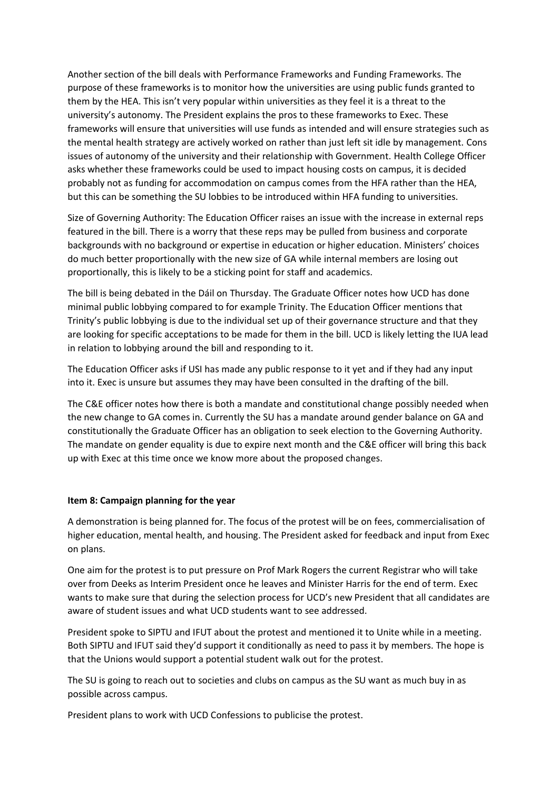Another section of the bill deals with Performance Frameworks and Funding Frameworks. The purpose of these frameworks is to monitor how the universities are using public funds granted to them by the HEA. This isn't very popular within universities as they feel it is a threat to the university's autonomy. The President explains the pros to these frameworks to Exec. These frameworks will ensure that universities will use funds as intended and will ensure strategies such as the mental health strategy are actively worked on rather than just left sit idle by management. Cons issues of autonomy of the university and their relationship with Government. Health College Officer asks whether these frameworks could be used to impact housing costs on campus, it is decided probably not as funding for accommodation on campus comes from the HFA rather than the HEA, but this can be something the SU lobbies to be introduced within HFA funding to universities.

Size of Governing Authority: The Education Officer raises an issue with the increase in external reps featured in the bill. There is a worry that these reps may be pulled from business and corporate backgrounds with no background or expertise in education or higher education. Ministers' choices do much better proportionally with the new size of GA while internal members are losing out proportionally, this is likely to be a sticking point for staff and academics.

The bill is being debated in the Dáil on Thursday. The Graduate Officer notes how UCD has done minimal public lobbying compared to for example Trinity. The Education Officer mentions that Trinity's public lobbying is due to the individual set up of their governance structure and that they are looking for specific acceptations to be made for them in the bill. UCD is likely letting the IUA lead in relation to lobbying around the bill and responding to it.

The Education Officer asks if USI has made any public response to it yet and if they had any input into it. Exec is unsure but assumes they may have been consulted in the drafting of the bill.

The C&E officer notes how there is both a mandate and constitutional change possibly needed when the new change to GA comes in. Currently the SU has a mandate around gender balance on GA and constitutionally the Graduate Officer has an obligation to seek election to the Governing Authority. The mandate on gender equality is due to expire next month and the C&E officer will bring this back up with Exec at this time once we know more about the proposed changes.

#### **Item 8: Campaign planning for the year**

A demonstration is being planned for. The focus of the protest will be on fees, commercialisation of higher education, mental health, and housing. The President asked for feedback and input from Exec on plans.

One aim for the protest is to put pressure on Prof Mark Rogers the current Registrar who will take over from Deeks as Interim President once he leaves and Minister Harris for the end of term. Exec wants to make sure that during the selection process for UCD's new President that all candidates are aware of student issues and what UCD students want to see addressed.

President spoke to SIPTU and IFUT about the protest and mentioned it to Unite while in a meeting. Both SIPTU and IFUT said they'd support it conditionally as need to pass it by members. The hope is that the Unions would support a potential student walk out for the protest.

The SU is going to reach out to societies and clubs on campus as the SU want as much buy in as possible across campus.

President plans to work with UCD Confessions to publicise the protest.